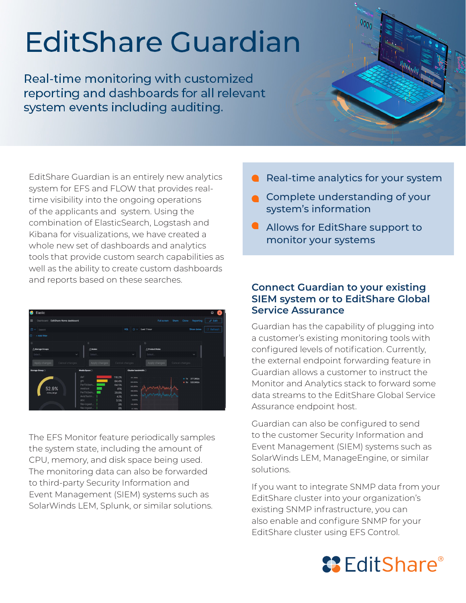## **EditShare Guardian**

Real-time monitoring with customized reporting and dashboards for all relevant system events including auditing.

EditShare Guardian is an entirely new analytics system for EFS and FLOW that provides realtime visibility into the ongoing operations of the applicants and system. Using the combination of ElasticSearch, Logstash and Kibana for visualizations, we have created a whole new set of dashboards and analytics tools that provide custom search capabilities as well as the ability to create custom dashboards and reports based on these searches.

| Elastic<br>œ                                      |                                                              |                                                                                     |                                    | ۵                                       |  |  |
|---------------------------------------------------|--------------------------------------------------------------|-------------------------------------------------------------------------------------|------------------------------------|-----------------------------------------|--|--|
| $\equiv$<br>EditShare Home dashboard<br>Dashboard |                                                              |                                                                                     | <b>Full screen</b><br><b>Share</b> | $\mathscr O$ Edit<br>Clone<br>Reporting |  |  |
| 图<br>Search                                       |                                                              | $\circ$<br>KGL.                                                                     | Last 1 hour                        | <b>C</b> Refresh<br>Show dates          |  |  |
| $\oplus$<br>+ Add filter                          |                                                              |                                                                                     |                                    |                                         |  |  |
| $\odot$                                           | $\circledcirc$                                               |                                                                                     | $\odot$                            |                                         |  |  |
| A Storage Groups                                  | Nodes                                                        |                                                                                     | <b>/ Product Roles</b>             |                                         |  |  |
| Select                                            | Select<br>$\checkmark$                                       | $\ddot{\sim}$                                                                       | Select.                            | $\checkmark$                            |  |  |
| Apply changes<br>Cancel changes                   | Apply changes                                                | Cancel changes                                                                      | Apply changes                      | Cancel changes                          |  |  |
| Storage Group                                     | Media Space ©                                                | Cluster bandwidth (                                                                 |                                    |                                         |  |  |
| 52.9%                                             | def<br>ghi<br>PerfVdben<br>medium                            | 116.2%<br>781.3KB/s<br>84.4%<br>683.6KB/s<br>64.5%<br>565.9KB/p<br>41%<br>488.3KB/s |                                    | 377.3KB/s<br>F<br>· Rx 525.5KB/s        |  |  |
| nyme_large                                        | PerfVoben<br>AvidTestin<br>abc<br>file-ingest<br>file-ingest | 29.8%<br>200.003/6<br>4.1%<br>2030B/s<br>3.5%<br>3%<br>195.3KB/s<br>3%<br>07.783/a  | ilgunnahasanda<br>Wymnamba         |                                         |  |  |

The EFS Monitor feature periodically samples the system state, including the amount of CPU, memory, and disk space being used. The monitoring data can also be forwarded to third-party Security Information and Event Management (SIEM) systems such as SolarWinds LEM, Splunk, or similar solutions.



- **Complete understanding of your** system's information
- **Allows for EditShare support to** monitor your systems

## **Connect Guardian to your existing SIEM system or to EditShare Global Service Assurance**

Guardian has the capability of plugging into a customer's existing monitoring tools with configured levels of notification. Currently, the external endpoint forwarding feature in Guardian allows a customer to instruct the Monitor and Analytics stack to forward some data streams to the EditShare Global Service Assurance endpoint host.

Guardian can also be configured to send to the customer Security Information and Event Management (SIEM) systems such as SolarWinds LEM, ManageEngine, or similar solutions.

If you want to integrate SNMP data from your EditShare cluster into your organization's existing SNMP infrastructure, you can also enable and configure SNMP for your EditShare cluster using EFS Control.